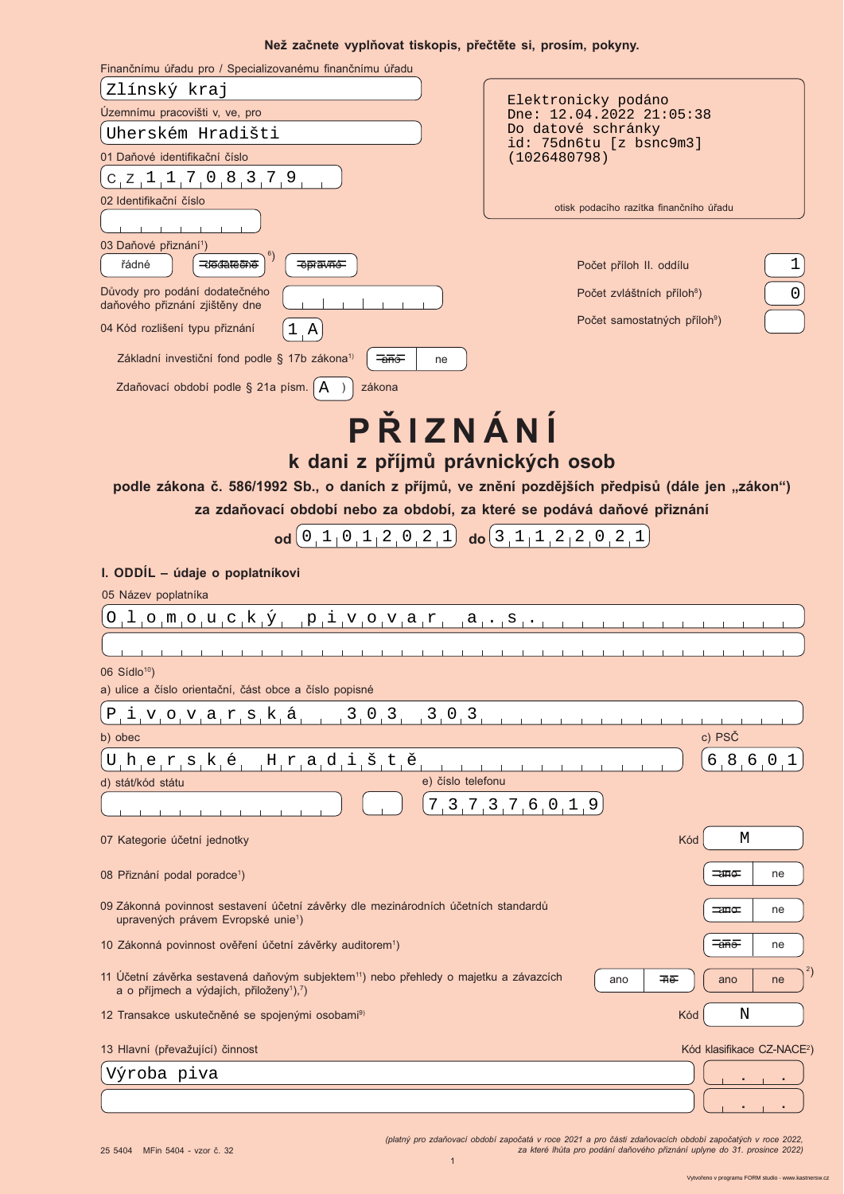### Než začnete vyplňovat tiskopis, přečtěte si, prosím, pokyny,

| Finančnímu úřadu pro / Specializovanému finančnímu úřadu                                                                                                                                                                                                                           |                                                       |  |  |  |
|------------------------------------------------------------------------------------------------------------------------------------------------------------------------------------------------------------------------------------------------------------------------------------|-------------------------------------------------------|--|--|--|
| Zlínský kraj                                                                                                                                                                                                                                                                       |                                                       |  |  |  |
| Územnímu pracovišti v, ve, pro                                                                                                                                                                                                                                                     | Elektronicky podáno<br>Dne: 12.04.2022 21:05:38       |  |  |  |
| Uherském Hradišti                                                                                                                                                                                                                                                                  | Do datové schránky<br>id: 75dn6tu [z bsnc9m3]         |  |  |  |
| 01 Daňové identifikační číslo                                                                                                                                                                                                                                                      | (1026480798)                                          |  |  |  |
| $C_1Z_1$ , 1, 7, 0, 8, 3, 7, 9,                                                                                                                                                                                                                                                    |                                                       |  |  |  |
| 02 Identifikační číslo                                                                                                                                                                                                                                                             | otisk podacího razítka finančního úřadu               |  |  |  |
|                                                                                                                                                                                                                                                                                    |                                                       |  |  |  |
| 03 Daňové přiznání <sup>1</sup> )<br>řádné<br>dodatečné<br>=≎pra∨né                                                                                                                                                                                                                | 1<br>Počet příloh II. oddílu                          |  |  |  |
| Důvody pro podání dodatečného<br>daňového přiznání zjištěny dne                                                                                                                                                                                                                    | $\mathsf 0$<br>Počet zvláštních příloh <sup>8</sup> ) |  |  |  |
| 04 Kód rozlišení typu přiznání<br>$\mathbf{A}$                                                                                                                                                                                                                                     | Počet samostatných příloh <sup>9</sup> )              |  |  |  |
| Základní investiční fond podle § 17b zákona <sup>1)</sup><br>$\overline{\overline{a}}$<br>ne                                                                                                                                                                                       |                                                       |  |  |  |
| Zdaňovací období podle § 21a písm.   A<br>zákona                                                                                                                                                                                                                                   |                                                       |  |  |  |
| PŘIZNÁNÍ<br>k dani z příjmů právnických osob<br>podle zákona č. 586/1992 Sb., o daních z příjmů, ve znění pozdějších předpisů (dále jen "zákon")<br>za zdaňovací období nebo za období, za které se podává daňové přiznání<br>od[0,1,0,1,2,0,2,1]<br>$\log$ 3, 1, 1, 2, 2, 0, 2, 1 |                                                       |  |  |  |
|                                                                                                                                                                                                                                                                                    |                                                       |  |  |  |
| I. ODDÍL - údaje o poplatníkovi                                                                                                                                                                                                                                                    |                                                       |  |  |  |
| 05 Název poplatníka                                                                                                                                                                                                                                                                |                                                       |  |  |  |
| $0,1,0,\mathfrak{m},0,\mathfrak{u},\mathfrak{c},\mathfrak{k},\mathfrak{Y},\mathfrak{p},\mathfrak{i},\mathfrak{v},0,\mathfrak{v},\mathfrak{a},\mathfrak{r},\mathfrak{a},\mathfrak{s},\mathfrak{s},\mathfrak{c},\mathfrak{p}$                                                        |                                                       |  |  |  |
|                                                                                                                                                                                                                                                                                    |                                                       |  |  |  |
| 06 Sídlo <sup>10</sup> )<br>a) ulice a číslo orientační, část obce a číslo popisné                                                                                                                                                                                                 |                                                       |  |  |  |
|                                                                                                                                                                                                                                                                                    |                                                       |  |  |  |
| 3, 0, 3,<br>3, 0, 3<br>$P_i$ ivovarská                                                                                                                                                                                                                                             |                                                       |  |  |  |
| b) obec                                                                                                                                                                                                                                                                            | c) PSČ                                                |  |  |  |
| Hradiště<br>$U$ , $h$ , $e$ , $r$ , $s$ , $k$ , $\acute{e}$ ,                                                                                                                                                                                                                      | 6, 8, 6, 0, 1                                         |  |  |  |
| e) číslo telefonu<br>d) stát/kód státu                                                                                                                                                                                                                                             |                                                       |  |  |  |
|                                                                                                                                                                                                                                                                                    | 7, 3, 7, 3, 7, 6, 0, 1, 9                             |  |  |  |
| 07 Kategorie účetní jednotky                                                                                                                                                                                                                                                       | М<br>Kód                                              |  |  |  |
| 08 Přiznání podal poradce <sup>1</sup> )                                                                                                                                                                                                                                           | =ano=<br>ne                                           |  |  |  |
| 09 Zákonná povinnost sestavení účetní závěrky dle mezinárodních účetních standardů<br>upravených právem Evropské unie <sup>1</sup> )                                                                                                                                               | <del>_an</del> o ±<br>ne                              |  |  |  |
| 10 Zákonná povinnost ověření účetní závěrky auditorem <sup>1</sup> )                                                                                                                                                                                                               | ≔anno≔<br>ne                                          |  |  |  |
| 11 Účetní závěrka sestavená daňovým subjektem <sup>11</sup> ) nebo přehledy o majetku a závazcích<br>a o příjmech a výdajích, přiloženy <sup>1</sup> ),7)                                                                                                                          | ano<br>ano<br>⊞⊕<br>ne                                |  |  |  |
| 12 Transakce uskutečněné se spojenými osobami <sup>9)</sup>                                                                                                                                                                                                                        | Kód<br>N                                              |  |  |  |
| 13 Hlavní (převažující) činnost                                                                                                                                                                                                                                                    | Kód klasifikace CZ-NACE <sup>2</sup>                  |  |  |  |
| Výroba piva                                                                                                                                                                                                                                                                        |                                                       |  |  |  |
|                                                                                                                                                                                                                                                                                    |                                                       |  |  |  |

*-*

1 *(platný pro zdaňovací období započatá v roce 2021 a pro části zdaňovacích období započatých v roce 2022)*<br>Za které lhůta pro podání daňového přiznání uplyne do 31. prosince 2022)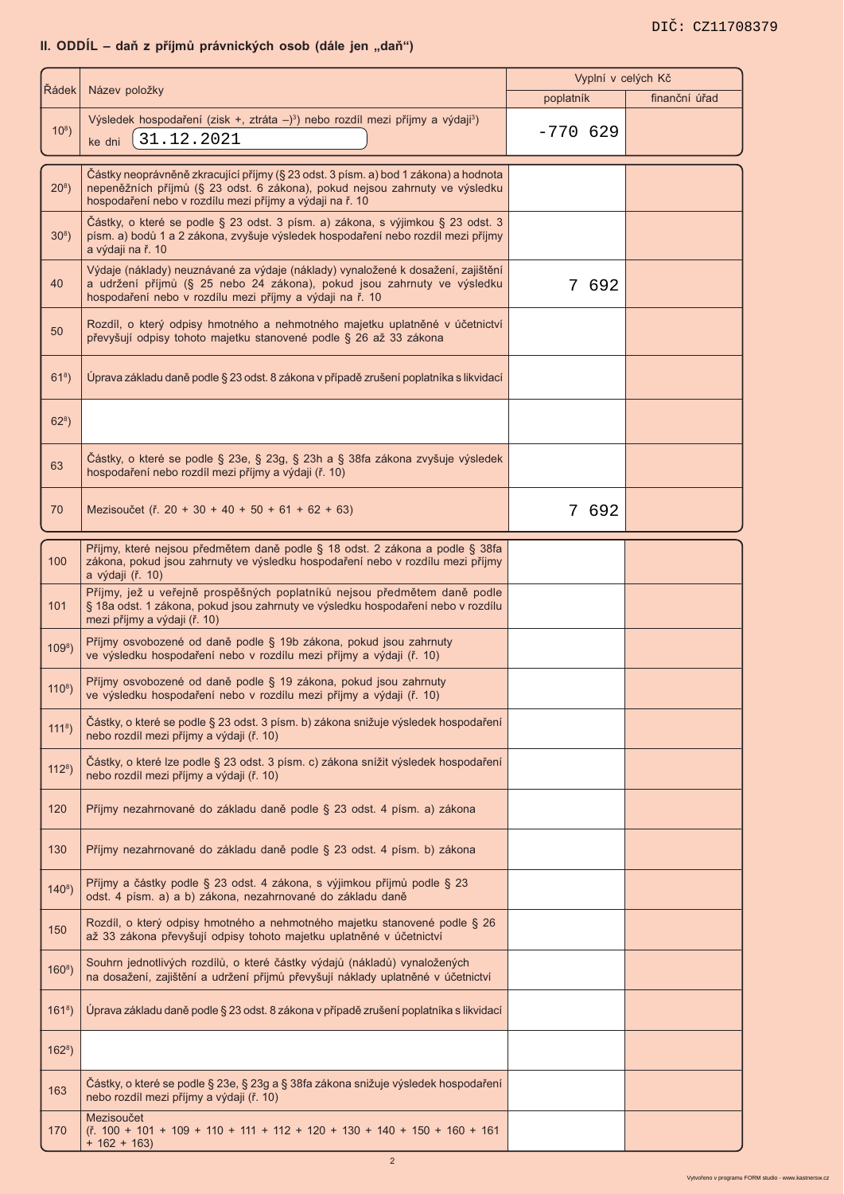# II. ODDÍL – daň z příjmů právnických osob (dále jen "daň")

| Řádek       | Název položky                                                                                                                                                                                                                  | Vyplní v celých Kč<br>poplatník | finanční úřad |
|-------------|--------------------------------------------------------------------------------------------------------------------------------------------------------------------------------------------------------------------------------|---------------------------------|---------------|
| $10^{8}$ )  | Výsledek hospodaření (zisk +, ztráta -) <sup>3</sup> ) nebo rozdíl mezi příjmy a výdaji <sup>3</sup> )                                                                                                                         | $-770629$                       |               |
|             | 31.12.2021<br>ke dni                                                                                                                                                                                                           |                                 |               |
| $20^{8}$ )  | Částky neoprávněně zkracující příjmy (§ 23 odst. 3 písm. a) bod 1 zákona) a hodnota<br>nepeněžních příjmů (§ 23 odst. 6 zákona), pokud nejsou zahrnuty ve výsledku<br>hospodaření nebo v rozdílu mezi příjmy a výdaji na ř. 10 |                                 |               |
| $30^{8}$ )  | Částky, o které se podle § 23 odst. 3 písm. a) zákona, s výjimkou § 23 odst. 3<br>písm. a) bodů 1 a 2 zákona, zvyšuje výsledek hospodaření nebo rozdíl mezi příjmy<br>a výdaji na ř. 10                                        |                                 |               |
| 40          | Výdaje (náklady) neuznávané za výdaje (náklady) vynaložené k dosažení, zajištění<br>a udržení příjmů (§ 25 nebo 24 zákona), pokud jsou zahrnuty ve výsledku<br>hospodaření nebo v rozdílu mezi příjmy a výdaji na ř. 10        | 7 692                           |               |
| 50          | Rozdíl, o který odpisy hmotného a nehmotného majetku uplatněné v účetnictví<br>převyšují odpisy tohoto majetku stanovené podle § 26 až 33 zákona                                                                               |                                 |               |
| $618$ )     | Úprava základu daně podle § 23 odst. 8 zákona v případě zrušení poplatníka s likvidací                                                                                                                                         |                                 |               |
| $62^{8}$ )  |                                                                                                                                                                                                                                |                                 |               |
| 63          | Částky, o které se podle § 23e, § 23g, § 23h a § 38fa zákona zvyšuje výsledek<br>hospodaření nebo rozdíl mezi příjmy a výdaji (ř. 10)                                                                                          |                                 |               |
| 70          | Mezisoučet (ř. 20 + 30 + 40 + 50 + 61 + 62 + 63)                                                                                                                                                                               | 7<br>692                        |               |
| 100         | Příjmy, které nejsou předmětem daně podle § 18 odst. 2 zákona a podle § 38fa<br>zákona, pokud jsou zahrnuty ve výsledku hospodaření nebo v rozdílu mezi příjmy<br>a výdaji (ř. 10)                                             |                                 |               |
| 101         | Příjmy, jež u veřejně prospěšných poplatníků nejsou předmětem daně podle<br>§ 18a odst. 1 zákona, pokud jsou zahrnuty ve výsledku hospodaření nebo v rozdílu<br>mezi příjmy a výdaji (ř. 10)                                   |                                 |               |
| $109^8$ )   | Příjmy osvobozené od daně podle § 19b zákona, pokud jsou zahrnuty<br>ve výsledku hospodaření nebo v rozdílu mezi příjmy a výdaji (ř. 10)                                                                                       |                                 |               |
| $110^{8}$ ) | Příjmy osvobozené od daně podle § 19 zákona, pokud jsou zahrnuty<br>ve výsledku hospodaření nebo v rozdílu mezi příjmy a výdaji (ř. 10)                                                                                        |                                 |               |
| $1118$ )    | Částky, o které se podle § 23 odst. 3 písm. b) zákona snižuje výsledek hospodaření<br>nebo rozdíl mezi příjmy a výdaji (ř. 10)                                                                                                 |                                 |               |
| $1128$ )    | Částky, o které lze podle § 23 odst. 3 písm. c) zákona snížit výsledek hospodaření<br>nebo rozdíl mezi příjmy a výdaji (ř. 10)                                                                                                 |                                 |               |
| 120         | Příjmy nezahrnované do základu daně podle § 23 odst. 4 písm. a) zákona                                                                                                                                                         |                                 |               |
| 130         | Příjmy nezahrnované do základu daně podle § 23 odst. 4 písm. b) zákona                                                                                                                                                         |                                 |               |
| $140^8$ )   | Příjmy a částky podle § 23 odst. 4 zákona, s výjimkou příjmů podle § 23<br>odst. 4 písm. a) a b) zákona, nezahrnované do základu daně                                                                                          |                                 |               |
| 150         | Rozdíl, o který odpisy hmotného a nehmotného majetku stanovené podle § 26<br>až 33 zákona převyšují odpisy tohoto majetku uplatněné v účetnictví                                                                               |                                 |               |
| $160^8$ )   | Souhrn jednotlivých rozdílů, o které částky výdajů (nákladů) vynaložených<br>na dosažení, zajištění a udržení příjmů převyšují náklady uplatněné v účetnictví                                                                  |                                 |               |
| $1618$ )    | Úprava základu daně podle § 23 odst. 8 zákona v případě zrušení poplatníka s likvidací                                                                                                                                         |                                 |               |
| $1628$ )    |                                                                                                                                                                                                                                |                                 |               |
| 163         | Částky, o které se podle § 23e, § 23g a § 38fa zákona snižuje výsledek hospodaření<br>nebo rozdíl mezi příjmy a výdaji (ř. 10)                                                                                                 |                                 |               |
| 170         | Mezisoučet<br>$(\check{r}. 100 + 101 + 109 + 110 + 111 + 112 + 120 + 130 + 140 + 150 + 160 + 161$<br>$+ 162 + 163$                                                                                                             |                                 |               |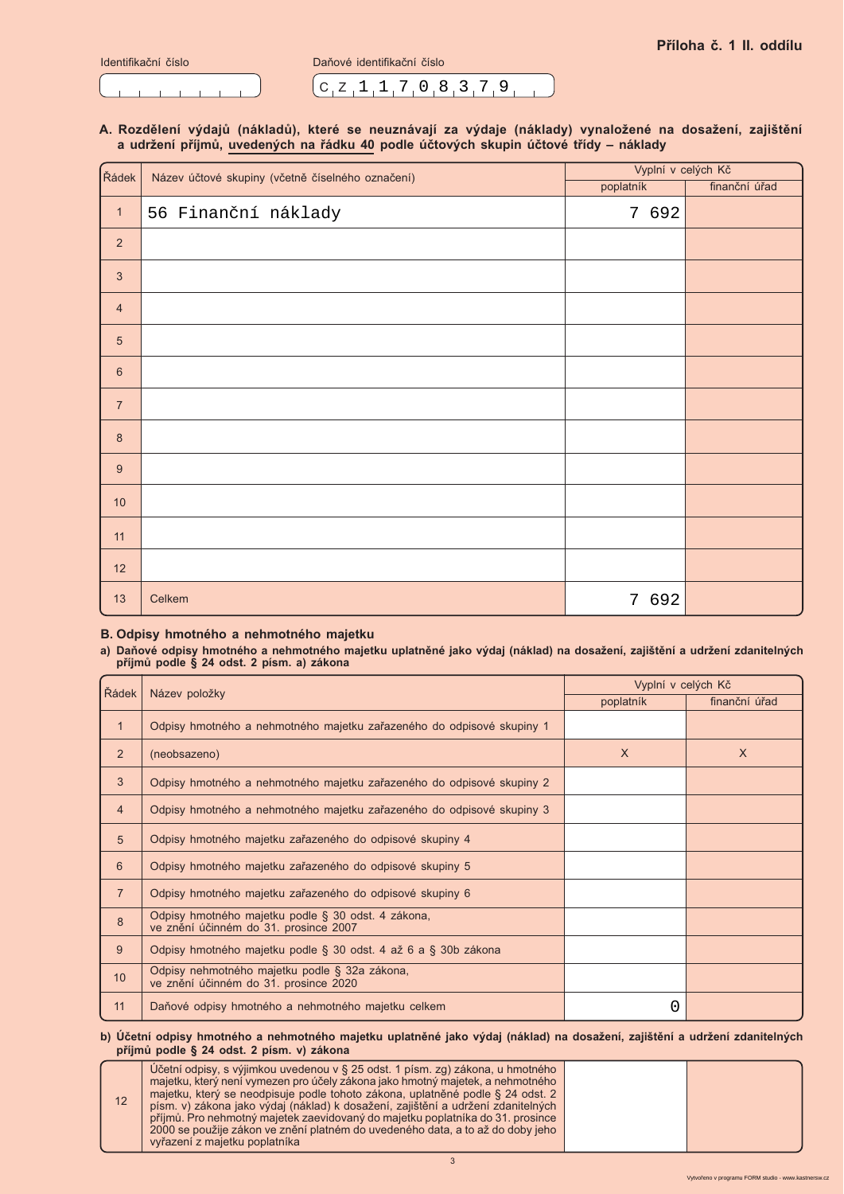|  | Identifikační číslo |
|--|---------------------|
|  |                     |

Daňové identifikační číslo

 $C_1Z_11_17_10_83_79_19$ 

### A. Rozdělení výdajů (nákladů), které se neuznávají za výdaje (náklady) vynaložené na dosažení, zajištění a udržení příjmů, uvedených na řádku 40 podle účtových skupin účtové třídy - náklady

| Řádek            | Název účtové skupiny (včetně číselného označení) | Vyplní v celých Kč |               |
|------------------|--------------------------------------------------|--------------------|---------------|
|                  |                                                  | poplatník          | finanční úřad |
| $\mathbf{1}$     | 56 Finanční náklady                              | 7 692              |               |
| $\sqrt{2}$       |                                                  |                    |               |
| $\mathbf{3}$     |                                                  |                    |               |
| $\overline{4}$   |                                                  |                    |               |
| $\sqrt{5}$       |                                                  |                    |               |
| $6\phantom{1}$   |                                                  |                    |               |
| $\overline{7}$   |                                                  |                    |               |
| $\boldsymbol{8}$ |                                                  |                    |               |
| 9                |                                                  |                    |               |
| $10$             |                                                  |                    |               |
| 11               |                                                  |                    |               |
| 12               |                                                  |                    |               |
| 13               | Celkem                                           | 7 692              |               |

## B. Odpisy hmotného a nehmotného majetku

# a) Daňové odpisy hmotného a nehmotného majetku uplatněné jako výdaj (náklad) na dosažení, zajištění a udržení zdanitelných<br>příjmů podle § 24 odst. 2 písm. a) zákona

| Řádek            | Název položky                                                                               | Vyplní v celých Kč |               |  |
|------------------|---------------------------------------------------------------------------------------------|--------------------|---------------|--|
|                  |                                                                                             | poplatník          | finanční úřad |  |
| $\mathbf{1}$     | Odpisy hmotného a nehmotného majetku zařazeného do odpisové skupiny 1                       |                    |               |  |
| $\overline{2}$   | (neobsazeno)                                                                                | $\sf X$            | X             |  |
| 3                | Odpisy hmotného a nehmotného majetku zařazeného do odpisové skupiny 2                       |                    |               |  |
| $\overline{4}$   | Odpisy hmotného a nehmotného majetku zařazeného do odpisové skupiny 3                       |                    |               |  |
| 5                | Odpisy hmotného majetku zařazeného do odpisové skupiny 4                                    |                    |               |  |
| 6                | Odpisy hmotného majetku zařazeného do odpisové skupiny 5                                    |                    |               |  |
| $\overline{7}$   | Odpisy hmotného majetku zařazeného do odpisové skupiny 6                                    |                    |               |  |
| $\boldsymbol{8}$ | Odpisy hmotného majetku podle § 30 odst. 4 zákona,<br>ve znění účinném do 31. prosince 2007 |                    |               |  |
| 9                | Odpisy hmotného majetku podle § 30 odst. 4 až 6 a § 30b zákona                              |                    |               |  |
| 10               | Odpisy nehmotného majetku podle § 32a zákona,<br>ve znění účinném do 31. prosince 2020      |                    |               |  |
| 11               | Daňové odpisy hmotného a nehmotného majetku celkem                                          | 0                  |               |  |

### b) Účetní odpisy hmotného a nehmotného majetku uplatněné jako výdaj (náklad) na dosažení, zajištění a udržení zdanitelných příjmů podle § 24 odst. 2 písm. v) zákona

| 12 | Učetní odpisy, s výjimkou uvedenou v § 25 odst. 1 písm. zg) zákona, u hmotného<br>majetku, který není vymezen pro účely zákona jako hmotný majetek, a nehmotného<br>majetku, který se neodpisuje podle tohoto zákona, uplatněné podle § 24 odst. 2<br>písm. v) zákona jako výdaj (náklad) k dosažení, zajištění a udržení zdanitelných<br>příjmů. Pro nehmotný majetek zaevidovaný do majetku poplatníka do 31. prosince<br>2000 se použije zákon ve znění platném do uvedeného data, a to až do doby jeho<br>vyřazení z majetku poplatníka |  |
|----|---------------------------------------------------------------------------------------------------------------------------------------------------------------------------------------------------------------------------------------------------------------------------------------------------------------------------------------------------------------------------------------------------------------------------------------------------------------------------------------------------------------------------------------------|--|

 $\mathbf{3}$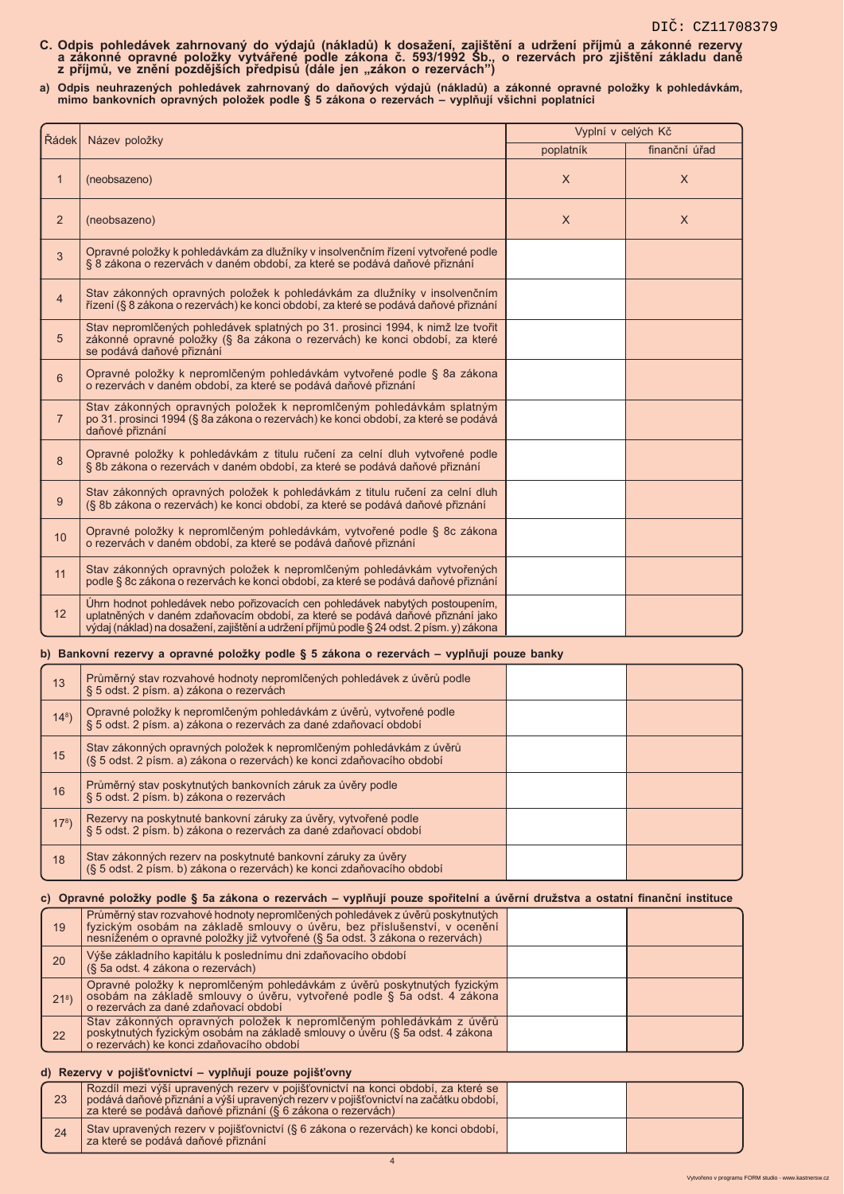- C. Odpis pohledávek zahrnovaný do výdajů (nákladů) k dosažení, zajištění a udržení příjmů a zákonné rezervy<br>a zákonné opravné položky vytvářené podle zákona č. 593/1992 Sb., o rezervách pro zjištění základu daně<br>z příjmů,
- a) Odpis neuhrazených pohledávek zahrnovaný do daňových výdajů (nákladů) a zákonné opravné položky k pohledávkám,<br>mimo bankovních opravných položek podle § 5 zákona o rezervách vyplňují všichni poplatníci

| Řádek          |                                                                                                                                                                                                                                                              | Vyplní v celých Kč |               |
|----------------|--------------------------------------------------------------------------------------------------------------------------------------------------------------------------------------------------------------------------------------------------------------|--------------------|---------------|
|                | Název položky                                                                                                                                                                                                                                                | poplatník          | finanční úřad |
| $\mathbf{1}$   | (neobsazeno)                                                                                                                                                                                                                                                 | $\times$           | $\times$      |
| 2              | (neobsazeno)                                                                                                                                                                                                                                                 | $\times$           | $\times$      |
| 3              | Opravné položky k pohledávkám za dlužníky v insolvenčním řízení vytvořené podle<br>§ 8 zákona o rezervách v daném období, za které se podává daňové přiznání                                                                                                 |                    |               |
| $\overline{4}$ | Stav zákonných opravných položek k pohledávkám za dlužníky v insolvenčním<br>řízení (§ 8 zákona o rezervách) ke konci období, za které se podává daňové přiznání                                                                                             |                    |               |
| 5              | Stav nepromlčených pohledávek splatných po 31. prosinci 1994, k nimž lze tvořit<br>zákonné opravné položky (§ 8a zákona o rezervách) ke konci období, za které<br>se podává daňové přiznání                                                                  |                    |               |
| 6              | Opravné položky k nepromlčeným pohledávkám vytvořené podle § 8a zákona<br>o rezervách v daném období, za které se podává daňové přiznání                                                                                                                     |                    |               |
| $\overline{7}$ | Stav zákonných opravných položek k nepromlčeným pohledávkám splatným<br>po 31. prosinci 1994 (§ 8a zákona o rezervách) ke konci období, za které se podává<br>daňové přiznání                                                                                |                    |               |
| 8              | Opravné položky k pohledávkám z titulu ručení za celní dluh vytvořené podle<br>§ 8b zákona o rezervách v daném období, za které se podává daňové přiznání                                                                                                    |                    |               |
| 9              | Stav zákonných opravných položek k pohledávkám z titulu ručení za celní dluh<br>(§ 8b zákona o rezervách) ke konci období, za které se podává daňové přiznání                                                                                                |                    |               |
| 10             | Opravné položky k nepromlčeným pohledávkám, vytvořené podle § 8c zákona<br>o rezervách v daném období, za které se podává daňové přiznání                                                                                                                    |                    |               |
| 11             | Stav zákonných opravných položek k nepromlčeným pohledávkám vytvořených<br>podle § 8c zákona o rezervách ke konci období, za které se podává daňové přiznání                                                                                                 |                    |               |
| 12             | Úhrn hodnot pohledávek nebo pořizovacích cen pohledávek nabytých postoupením,<br>uplatněných v daném zdaňovacím období, za které se podává daňové přiznání jako<br>výdaj (náklad) na dosažení, zajištění a udržení příjmů podle § 24 odst. 2 písm. v) zákona |                    |               |

### b) Bankovní rezervy a opravné položky podle § 5 zákona o rezervách – vyplňují pouze banky

| 13              | Průměrný stav rozvahové hodnoty nepromlčených pohledávek z úvěrů podle<br>§ 5 odst. 2 písm. a) zákona o rezervách                            |  |
|-----------------|----------------------------------------------------------------------------------------------------------------------------------------------|--|
| $14^{8}$ )      | Opravné položky k nepromlčeným pohledávkám z úvěrů, vytvořené podle<br>§ 5 odst. 2 písm. a) zákona o rezervách za dané zdaňovací období      |  |
| 15              | Stav zákonných opravných položek k nepromlčeným pohledávkám z úvěrů<br>(§ 5 odst. 2 písm. a) zákona o rezervách) ke konci zdaňovacího období |  |
| 16              | Průměrný stav poskytnutých bankovních záruk za úvěry podle<br>§ 5 odst. 2 písm. b) zákona o rezervách                                        |  |
| 17 <sup>8</sup> | Rezervy na poskytnuté bankovní záruky za úvěry, vytvořené podle<br>§ 5 odst. 2 písm. b) zákona o rezervách za dané zdaňovací období          |  |
| 18              | Stav zákonných rezerv na poskytnuté bankovní záruky za úvěry<br>(§ 5 odst. 2 písm. b) zákona o rezervách) ke konci zdaňovacího období        |  |

### c) Opravné položky podle § 5a zákona o rezervách - vyplňují pouze spořitelní a úvěrní družstva a ostatní finanční instituce

| 19      | Průměrný stav rozvahové hodnoty nepromlčených pohledávek z úvěrů poskytnutých<br>fyzickým osobám na základě smlouvy o úvěru, bez příslušenství, v ocenění<br>nesníženém o opravné položky již vytvořené (§ 5a odst. 3 zákona o rezervách) |  |
|---------|-------------------------------------------------------------------------------------------------------------------------------------------------------------------------------------------------------------------------------------------|--|
| 20      | Výše základního kapitálu k poslednímu dni zdaňovacího období<br>(§ 5a odst. 4 zákona o rezervách)                                                                                                                                         |  |
| $218$ ) | Opravné položky k nepromlčeným pohledávkám z úvěrů poskytnutých fyzickým<br>osobám na základě smlouvy o úvěru, vytvořené podle § 5a odst. 4 zákona<br>o rezervách za dané zdaňovací období                                                |  |
| 22      | Stav zákonných opravných položek k nepromlčeným pohledávkám z úvěrů<br>poskytnutých fyzickým osobám na základě smlouvy o úvěru (§ 5a odst. 4 zákona<br>o rezervách) ke konci zdaňovacího období                                           |  |

### d) Rezervy v pojišťovnictví - vyplňují pouze pojišťovny

| 23 | Rozdíl mezi výší upravených rezery v pojišťovnictví na konci období, za které se<br>podává daňové přiznání a výší upravených rezery v pojišťovnictví na začátku období,<br>za které se podává daňové přiznání (§ 6 zákona o rezervách) |  |
|----|----------------------------------------------------------------------------------------------------------------------------------------------------------------------------------------------------------------------------------------|--|
| 24 | Stav upravených rezery v pojišťovnictví (§ 6 zákona o rezervách) ke konci období,<br>za které se podává daňové přiznání                                                                                                                |  |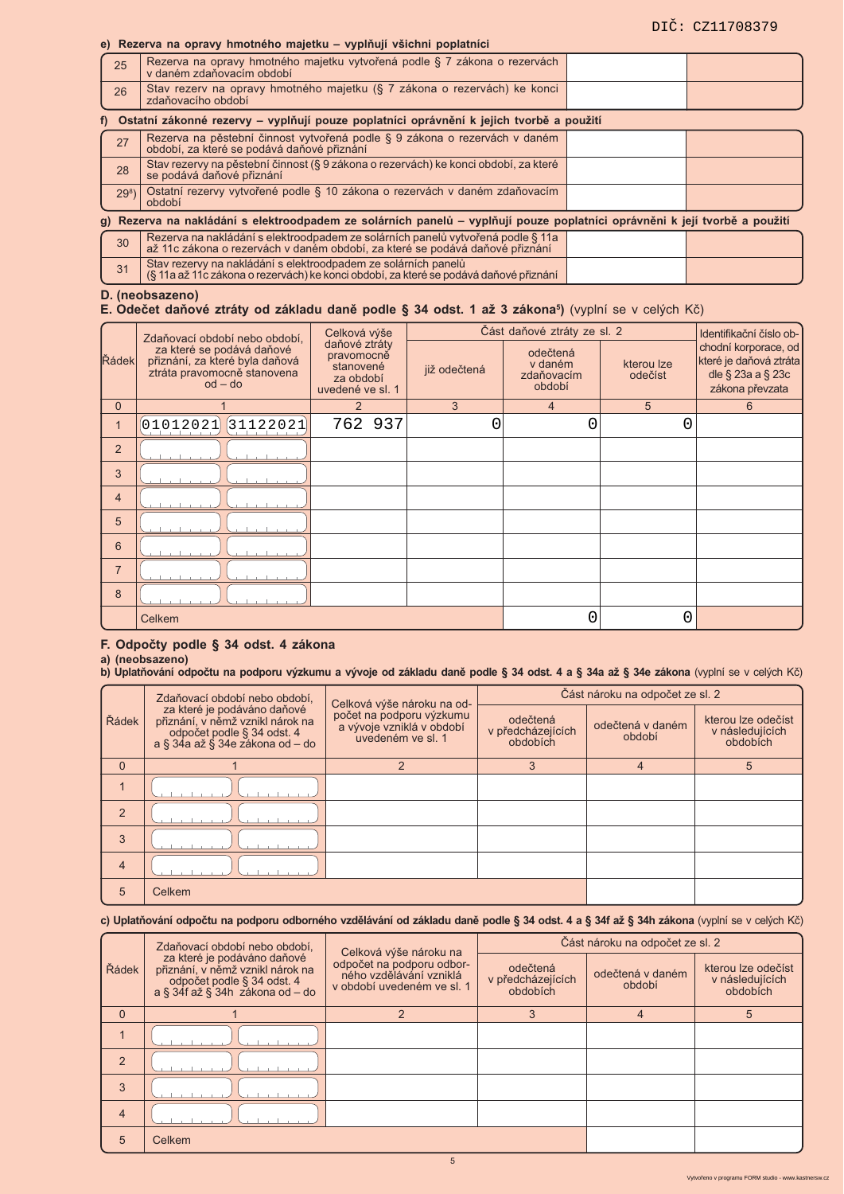# e) Rezerva na opravy hmotného majetku – vyplňují všichni poplatníci

| 25                                                                                         | Rezerva na opravy hmotného majetku vytvořená podle § 7 zákona o rezervách<br>v daném zdaňovacím období                     |  |  |  |  |
|--------------------------------------------------------------------------------------------|----------------------------------------------------------------------------------------------------------------------------|--|--|--|--|
| 26                                                                                         | Stav rezerv na opravy hmotného majetku (§ 7 zákona o rezervách) ke konci<br>zdaňovacího období                             |  |  |  |  |
| f) Ostatní zákonné rezervy – vyplňují pouze poplatníci oprávnění k jejich tvorbě a použití |                                                                                                                            |  |  |  |  |
| 27                                                                                         | Rezerva na pěstební činnost vytvořená podle § 9 zákona o rezervách v daném období, za které se podává daňové přiznání      |  |  |  |  |
| 28                                                                                         | Stav rezervy na pěstební činnost (§ 9 zákona o rezervách) ke konci období, za které<br>se podává daňové přiznání           |  |  |  |  |
| 29 <sup>8</sup>                                                                            | Ostatní rezervy vytvořené podle § 10 zákona o rezervách v daném zdaňovacím<br>období                                       |  |  |  |  |
|                                                                                            | g) Rezerva na nakládání s elektroodpadem ze solárních panelů – vyplňují pouze poplatníci oprávněni k její tvorbě a použití |  |  |  |  |

| 30 | Rezerva na nakládání s elektroodpadem ze solárních panelů vytvořená podle § 11a<br>až 11c zákona o rezervách v daném období, za které se podává daňové přiznání |  |
|----|-----------------------------------------------------------------------------------------------------------------------------------------------------------------|--|
| 31 | Stav rezervy na nakládání s elektroodpadem ze solárních panelů<br>(§ 11a až 11c zákona o rezervách) ke konci období, za které se podává daňové přiznání         |  |

# D. (neobsazeno)<br>E. Odečet daňové ztráty od základu daně podle § 34 odst. 1 až 3 zákona<sup>5</sup>) (vyplní se v celých Kč)

|                | Zdaňovací období nebo období,                                                                           | Celková výše                                                              |              | Část daňové ztráty ze sl. 2                 |                       | Identifikační číslo ob-                                                                      |
|----------------|---------------------------------------------------------------------------------------------------------|---------------------------------------------------------------------------|--------------|---------------------------------------------|-----------------------|----------------------------------------------------------------------------------------------|
| Řádek          | za které se podává daňové<br>přiznání, za které byla daňová<br>ztráta pravomocně stanovena<br>$od - do$ | daňové ztráty<br>pravomocně<br>stanovené<br>za období<br>uvedené ve sl. 1 | již odečtená | odečtená<br>v daném<br>zdaňovacím<br>období | kterou lze<br>odečíst | chodní korporace, od<br>které je daňová ztráta<br>dle $\S$ 23a a $\S$ 23c<br>zákona převzata |
| $\overline{0}$ |                                                                                                         | $\mathfrak{p}$                                                            | 3            | $\overline{4}$                              | 5                     | 6                                                                                            |
|                | [01012021]<br>[31122021]                                                                                | 762 937                                                                   | Ⴖ            | 0                                           | 0                     |                                                                                              |
| 2              |                                                                                                         |                                                                           |              |                                             |                       |                                                                                              |
| 3              |                                                                                                         |                                                                           |              |                                             |                       |                                                                                              |
| $\overline{4}$ |                                                                                                         |                                                                           |              |                                             |                       |                                                                                              |
| 5              |                                                                                                         |                                                                           |              |                                             |                       |                                                                                              |
| 6              |                                                                                                         |                                                                           |              |                                             |                       |                                                                                              |
| $\overline{7}$ |                                                                                                         |                                                                           |              |                                             |                       |                                                                                              |
| 8              |                                                                                                         |                                                                           |              |                                             |                       |                                                                                              |
|                | Celkem                                                                                                  |                                                                           |              | 0                                           |                       |                                                                                              |

### F. Odpočty podle § 34 odst. 4 zákona

# a) (neobsazeno)<br>b) Uplatňování odpočtu na podporu výzkumu a vývoje od základu daně podle § 34 odst. 4 a § 34a až § 34e zákona (vyplní se v celých Kč)

|          | Zdaňovací období nebo období,                                                                                                    | Celková výše nároku na od-                                                 |                                           | Část nároku na odpočet ze sl. 2<br>kterou lze odečíst<br>odečtená v daném<br>v následujících<br>období<br>obdobích<br>5<br>4 |  |
|----------|----------------------------------------------------------------------------------------------------------------------------------|----------------------------------------------------------------------------|-------------------------------------------|------------------------------------------------------------------------------------------------------------------------------|--|
| Řádek    | za které je podáváno daňové<br>přiznání, v němž vznikl nárok na<br>odpočet podle § 34 odst. 4<br>a § 34a až § 34e zákona od – do | počet na podporu výzkumu<br>a vývoje vzniklá v období<br>uvedeném ve sl. 1 | odečtená<br>v předcházejících<br>obdobích |                                                                                                                              |  |
| $\Omega$ |                                                                                                                                  |                                                                            | 3                                         |                                                                                                                              |  |
|          |                                                                                                                                  |                                                                            |                                           |                                                                                                                              |  |
| 2        |                                                                                                                                  |                                                                            |                                           |                                                                                                                              |  |
| 3        |                                                                                                                                  |                                                                            |                                           |                                                                                                                              |  |
| 4        |                                                                                                                                  |                                                                            |                                           |                                                                                                                              |  |
| 5        | Celkem                                                                                                                           |                                                                            |                                           |                                                                                                                              |  |

### c) Uplatňování odpočtu na podporu odborného vzdělávání od základu daně podle § 34 odst. 4 a § 34f až § 34h zákona (vyplní se v celých Kč)

|                | Zdaňovací období nebo období,                                                                                                             | Celková výše nároku na                                                             |                                           | Část nároku na odpočet ze sl. 2 |                                                   |  |
|----------------|-------------------------------------------------------------------------------------------------------------------------------------------|------------------------------------------------------------------------------------|-------------------------------------------|---------------------------------|---------------------------------------------------|--|
| Řádek          | za které je podáváno daňové<br>přiznání, v němž vznikl nárok na<br>odpočet podle § 34 odst. 4<br>$a \S 34f a \zeta \S 34h zákona od - do$ | odpočet na podporu odbor-<br>ného vzdělávání vzniklá<br>v období uvedeném ve sl. 1 | odečtená<br>v předcházejících<br>obdobích | odečtená v daném<br>období      | kterou lze odečíst<br>v následujících<br>obdobích |  |
| $\Omega$       |                                                                                                                                           |                                                                                    |                                           |                                 |                                                   |  |
|                |                                                                                                                                           |                                                                                    |                                           |                                 |                                                   |  |
| $\overline{2}$ |                                                                                                                                           |                                                                                    |                                           |                                 |                                                   |  |
| 3              |                                                                                                                                           |                                                                                    |                                           |                                 |                                                   |  |
| $\overline{4}$ |                                                                                                                                           |                                                                                    |                                           |                                 |                                                   |  |
| 5              | Celkem                                                                                                                                    |                                                                                    |                                           |                                 |                                                   |  |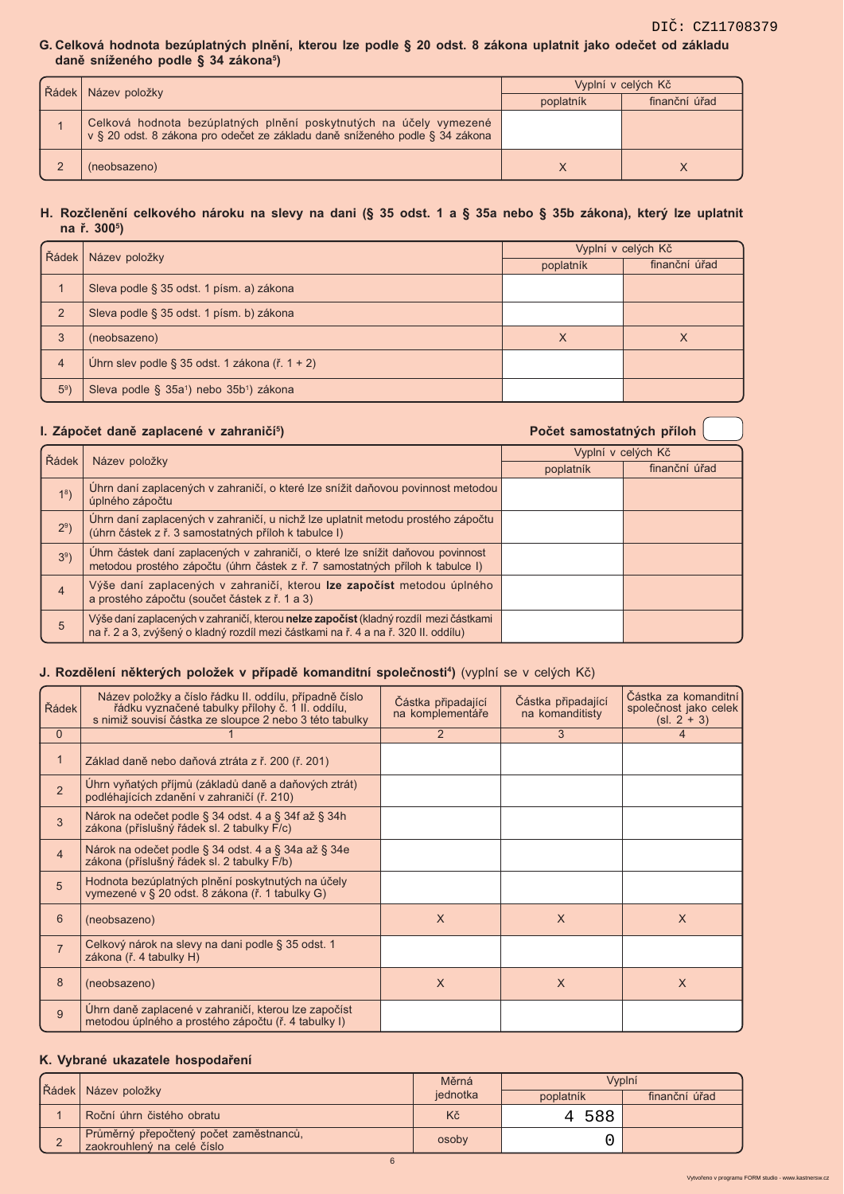### G. Celková hodnota bezúplatných plnění, kterou lze podle § 20 odst. 8 zákona uplatnit jako odečet od základu daně sníženého podle § 34 zákona<sup>5</sup>)

| Radek | Název položky                                                                                                                                      | Vyplní v celých Kč |               |
|-------|----------------------------------------------------------------------------------------------------------------------------------------------------|--------------------|---------------|
|       |                                                                                                                                                    | poplatník          | finanční úřad |
|       | Celková hodnota bezúplatných plnění poskytnutých na účely vymezené<br>v § 20 odst. 8 zákona pro odečet ze základu daně sníženého podle § 34 zákona |                    |               |
|       | (neobsazeno)                                                                                                                                       |                    |               |

### H. Rozčlenění celkového nároku na slevy na dani (§ 35 odst. 1 a § 35a nebo § 35b zákona), který lze uplatnit na ř. 300<sup>5</sup>)

| Rádek          | Název položky                                                   | Vyplní v celých Kč |               |
|----------------|-----------------------------------------------------------------|--------------------|---------------|
|                |                                                                 | poplatník          | finanční úřad |
|                | Sleva podle § 35 odst. 1 písm. a) zákona                        |                    |               |
| $\overline{2}$ | Sleva podle § 35 odst. 1 písm. b) zákona                        |                    |               |
| 3              | (neobsazeno)                                                    | X                  | ⋏             |
| $\overline{4}$ | Úhrn slev podle § 35 odst. 1 zákona (ř. 1 + 2)                  |                    |               |
| 5 <sup>9</sup> | Sleva podle § 35a <sup>1</sup> ) nebo 35b <sup>1</sup> ) zákona |                    |               |

## I. Zápočet daně zaplacené v zahraničí<sup>5</sup>)

Počet samostatných příloh

| Řádek          | Název položky                                                                                                                                                               | Vyplní v celých Kč |               |  |  |
|----------------|-----------------------------------------------------------------------------------------------------------------------------------------------------------------------------|--------------------|---------------|--|--|
|                |                                                                                                                                                                             | poplatník          | finanční úřad |  |  |
| 1 <sup>8</sup> | Uhrn daní zaplacených v zahraničí, o které lze snížit daňovou povinnost metodou<br>úplného zápočtu                                                                          |                    |               |  |  |
| $29$ )         | Uhrn daní zaplacených v zahraničí, u nichž lze uplatnit metodu prostého zápočtu<br>(úhrn částek z ř. 3 samostatných příloh k tabulce I)                                     |                    |               |  |  |
| $39$ )         | Uhrn částek daní zaplacených v zahraničí, o které lze snížit daňovou povinnost<br>metodou prostého zápočtu (úhrn částek z ř. 7 samostatných příloh k tabulce I)             |                    |               |  |  |
| $\overline{4}$ | Výše daní zaplacených v zahraničí, kterou lze započíst metodou úplného<br>a prostého zápočtu (součet částek z ř. 1 a 3)                                                     |                    |               |  |  |
| 5              | Výše daní zaplacených v zahraničí, kterou nelze započíst (kladný rozdíl mezi částkami<br>na ř. 2 a 3, zvýšený o kladný rozdíl mezi částkami na ř. 4 a na ř. 320 II. oddílu) |                    |               |  |  |

# J. Rozdělení některých položek v případě komanditní společnosti<sup>4</sup>) (vyplní se v celých Kč)

| Řádek          | Název položky a číslo řádku II. oddílu, případně číslo<br>řádku vyznačené tabulky přílohy č. 1 II. oddílu,<br>s nimiž souvisí částka ze sloupce 2 nebo 3 této tabulky | Částka připadající<br>na komplementáře | Cástka připadající<br>na komanditisty | Částka za komanditní<br>společnost jako celek<br>$(sl. 2 + 3)$ |
|----------------|-----------------------------------------------------------------------------------------------------------------------------------------------------------------------|----------------------------------------|---------------------------------------|----------------------------------------------------------------|
| $\Omega$       |                                                                                                                                                                       | $\overline{2}$                         | 3                                     | $\overline{4}$                                                 |
| $\mathbf{1}$   | Základ daně nebo daňová ztráta z ř. 200 (ř. 201)                                                                                                                      |                                        |                                       |                                                                |
| $\overline{2}$ | Uhrn vyňatých příjmů (základů daně a daňových ztrát)<br>podléhajících zdanění v zahraničí (ř. 210)                                                                    |                                        |                                       |                                                                |
| 3              | Nárok na odečet podle § 34 odst. 4 a § 34f až § 34h<br>zákona (příslušný řádek sl. 2 tabulky F/c)                                                                     |                                        |                                       |                                                                |
| $\overline{4}$ | Nárok na odečet podle § 34 odst. 4 a § 34a až § 34e<br>zákona (příslušný řádek sl. 2 tabulky F/b)                                                                     |                                        |                                       |                                                                |
| 5              | Hodnota bezúplatných plnění poskytnutých na účely<br>vymezené v § 20 odst. 8 zákona (ř. 1 tabulky G)                                                                  |                                        |                                       |                                                                |
| 6              | (neobsazeno)                                                                                                                                                          | $\times$                               | $\times$                              | $\times$                                                       |
| $\overline{7}$ | Celkový nárok na slevy na dani podle § 35 odst. 1<br>zákona (ř. 4 tabulky H)                                                                                          |                                        |                                       |                                                                |
| 8              | (neobsazeno)                                                                                                                                                          | $\times$                               | $\times$                              | X                                                              |
| 9              | Uhrn daně zaplacené v zahraničí, kterou lze započíst<br>metodou úplného a prostého zápočtu (ř. 4 tabulky I)                                                           |                                        |                                       |                                                                |

# K. Vybrané ukazatele hospodaření

| Řádek Název položky                                                  | Měrná    |           | Vvplní        |
|----------------------------------------------------------------------|----------|-----------|---------------|
|                                                                      | iednotka | poplatník | finanční úřad |
| Roční úhrn čistého obratu                                            | Kč       | 4 588     |               |
| Průměrný přepočtený počet zaměstnanců,<br>zaokrouhlený na celé číslo | osoby    |           |               |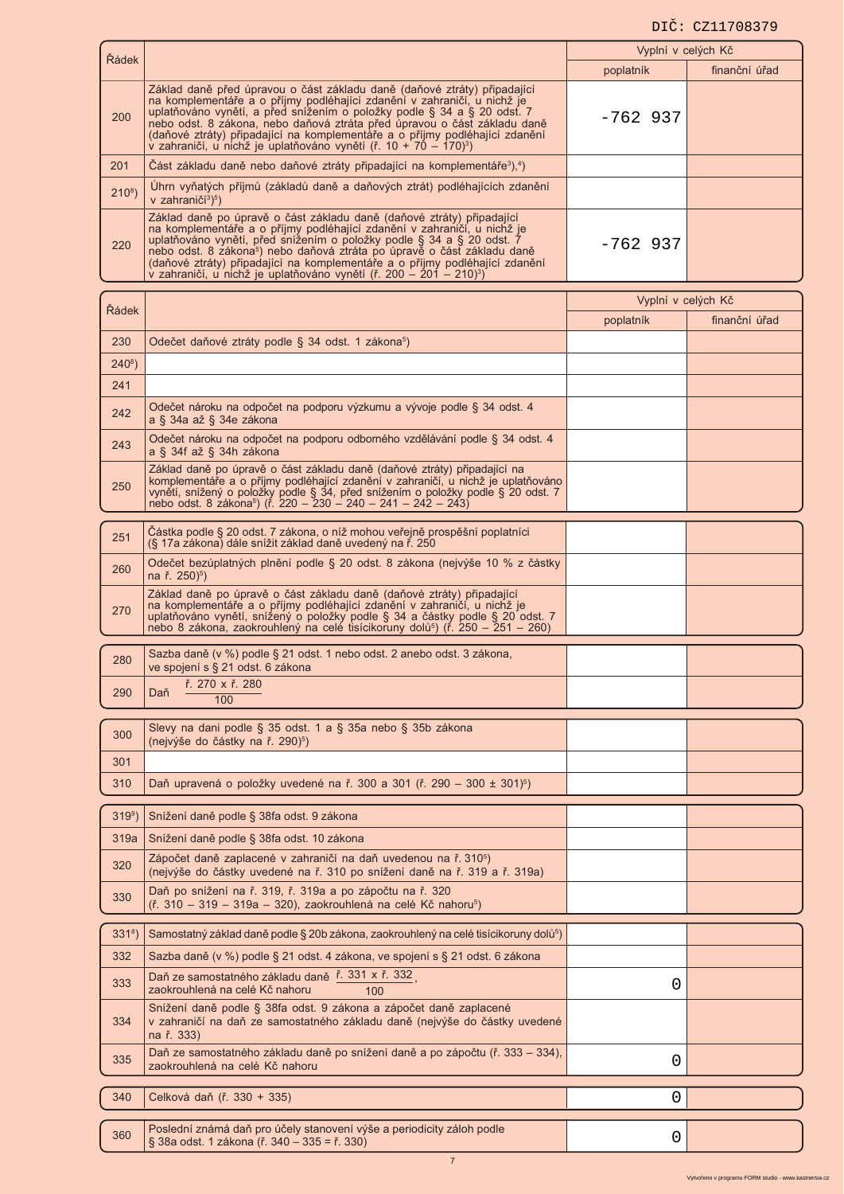# DIČ: CZ11708379

|                  |                                                                                                                                                                                                                                                                                                                                                                                                                                                                                   | Vyplní v celých Kč |               |
|------------------|-----------------------------------------------------------------------------------------------------------------------------------------------------------------------------------------------------------------------------------------------------------------------------------------------------------------------------------------------------------------------------------------------------------------------------------------------------------------------------------|--------------------|---------------|
| Řádek            |                                                                                                                                                                                                                                                                                                                                                                                                                                                                                   | poplatník          | finanční úřad |
| 200              | Základ daně před úpravou o část základu daně (daňové ztráty) připadající<br>na komplementáře a o příjmy podléhající zdanění v zahraničí, u nichž je<br>uplatňováno vynětí, a před snížením o položky podle § 34 a § 20 odst. 7<br>nebo odst. 8 zákona, nebo daňová ztráta před úpravou o část základu daně<br>(daňové ztráty) připadající na komplementáře a o příjmy podléhající zdanění<br>v zahraničí, u nichž je uplatňováno vynětí (ř. 10 + 70 – 170) <sup>3</sup> )         | $-762$ 937         |               |
| 201              | Cást základu daně nebo daňové ztráty připadající na komplementáře <sup>3</sup> ), <sup>4</sup> )                                                                                                                                                                                                                                                                                                                                                                                  |                    |               |
| $210^{8}$ )      | Úhrn vyňatých příjmů (základů daně a daňových ztrát) podléhajících zdanění<br>v zahraničí <sup>3</sup> ) <sup>5</sup> )                                                                                                                                                                                                                                                                                                                                                           |                    |               |
| 220              | Základ daně po úpravě o část základu daně (daňové ztráty) připadající<br>na komplementáře a o příjmy podléhající zdanění v zahraničí, u nichž je<br>uplatňováno vynětí, před snížením o položky podle § 34 a § 20 odst. 7<br>nebo odst. 8 zákona <sup>5</sup> ) nebo daňová ztráta po úpravě o část základu daně<br>(daňové ztráty) připadající na komplementáře a o příjmy podléhající zdanění<br>v zahraničí, u nichž je uplatňováno vynětí (ř. 200 – 201 – 210) <sup>3</sup> ) | $-762$ 937         |               |
| Řádek            |                                                                                                                                                                                                                                                                                                                                                                                                                                                                                   | Vyplní v celých Kč |               |
|                  |                                                                                                                                                                                                                                                                                                                                                                                                                                                                                   | poplatník          | finanční úřad |
| 230              | Odečet daňové ztráty podle § 34 odst. 1 zákona <sup>5</sup> )                                                                                                                                                                                                                                                                                                                                                                                                                     |                    |               |
| $240^8$ )        |                                                                                                                                                                                                                                                                                                                                                                                                                                                                                   |                    |               |
| 241              |                                                                                                                                                                                                                                                                                                                                                                                                                                                                                   |                    |               |
| 242              | Odečet nároku na odpočet na podporu výzkumu a vývoje podle § 34 odst. 4<br>a § 34a až § 34e zákona                                                                                                                                                                                                                                                                                                                                                                                |                    |               |
| 243              | Odečet nároku na odpočet na podporu odborného vzdělávání podle § 34 odst. 4<br>a § 34f až § 34h zákona                                                                                                                                                                                                                                                                                                                                                                            |                    |               |
| 250              | Základ daně po úpravě o část základu daně (daňové ztráty) připadající na<br>komplementáře a o příjmy podléhající zdanění v zahraničí, u nichž je uplatňováno<br>vynětí, snížený o položky podle § 34, před snížením o položky podle § 20 odst. 7<br>nebo odst. 8 zákona <sup>5</sup> ) (ř. 220 – 230 – 240 – 241 – 242 – 243)                                                                                                                                                     |                    |               |
| 251              | Cástka podle § 20 odst. 7 zákona, o níž mohou veřejně prospěšní poplatníci<br>(§ 17a zákona) dále snížit základ daně uvedený na ř. 250                                                                                                                                                                                                                                                                                                                                            |                    |               |
| 260              | Odečet bezúplatných plnění podle § 20 odst. 8 zákona (nejvýše 10 % z částky<br>na ř. 250) <sup>5</sup> )                                                                                                                                                                                                                                                                                                                                                                          |                    |               |
| 270              | Základ daně po úpravě o část základu daně (daňové ztráty) připadající<br>na komplementáře a o příjmy podléhající zdanění v zahraničí, u nichž je<br>uplatňováno vynětí, snížený o položky podle § 34 a částky podle § 20 odst. 7 nebo 8 zákona, zaokrouhlený na celé tisícikoruny dolů <sup>s</sup> ) (ř. 250 – 251 – 260)                                                                                                                                                        |                    |               |
| 280              | Sazba daně (v %) podle § 21 odst. 1 nebo odst. 2 anebo odst. 3 zákona,<br>ve spojení s § 21 odst. 6 zákona                                                                                                                                                                                                                                                                                                                                                                        |                    |               |
| 290              | ř. 270 x ř. 280<br>Daň<br>100                                                                                                                                                                                                                                                                                                                                                                                                                                                     |                    |               |
| 300              | Slevy na dani podle § 35 odst. 1 a § 35a nebo § 35b zákona<br>(nejvýše do částky na ř. 290) <sup>5</sup> )                                                                                                                                                                                                                                                                                                                                                                        |                    |               |
| 301              |                                                                                                                                                                                                                                                                                                                                                                                                                                                                                   |                    |               |
| 310              | Daň upravená o položky uvedené na ř. 300 a 301 (ř. 290 – 300 ± 301) <sup>5</sup> )                                                                                                                                                                                                                                                                                                                                                                                                |                    |               |
| 319 <sup>9</sup> | Snížení daně podle § 38fa odst. 9 zákona                                                                                                                                                                                                                                                                                                                                                                                                                                          |                    |               |
| 319a             | Snížení daně podle § 38fa odst. 10 zákona                                                                                                                                                                                                                                                                                                                                                                                                                                         |                    |               |
| 320              | Zápočet daně zaplacené v zahraničí na daň uvedenou na ř. 310 <sup>5</sup> )<br>(nejvýše do částky uvedené na ř. 310 po snížení daně na ř. 319 a ř. 319a)                                                                                                                                                                                                                                                                                                                          |                    |               |
| 330              | Daň po snížení na ř. 319, ř. 319a a po zápočtu na ř. 320<br>$(\check{r}$ . 310 – 319 – 319a – 320), zaokrouhlená na celé Kč nahoru <sup>5</sup> )                                                                                                                                                                                                                                                                                                                                 |                    |               |
| $3318$ )         | Samostatný základ daně podle § 20b zákona, zaokrouhlený na celé tisícikoruny dolů <sup>5</sup> )                                                                                                                                                                                                                                                                                                                                                                                  |                    |               |
| 332              | Sazba daně (v %) podle § 21 odst. 4 zákona, ve spojení s § 21 odst. 6 zákona                                                                                                                                                                                                                                                                                                                                                                                                      |                    |               |
| 333              | Daň ze samostatného základu daně ř. 331 x ř. 332<br>zaokrouhlená na celé Kč nahoru<br>100                                                                                                                                                                                                                                                                                                                                                                                         | 0                  |               |
| 334              | Snížení daně podle § 38fa odst. 9 zákona a zápočet daně zaplacené<br>v zahraničí na daň ze samostatného základu daně (nejvýše do částky uvedené<br>na ř. 333)                                                                                                                                                                                                                                                                                                                     |                    |               |
| 335              | Daň ze samostatného základu daně po snížení daně a po zápočtu (ř. 333 – 334),<br>zaokrouhlená na celé Kč nahoru                                                                                                                                                                                                                                                                                                                                                                   | 0                  |               |
| 340              | Celková daň (ř. 330 + 335)                                                                                                                                                                                                                                                                                                                                                                                                                                                        | 0                  |               |
|                  | Poslední známá daň pro účely stanovení výše a periodicity záloh podle                                                                                                                                                                                                                                                                                                                                                                                                             |                    |               |
| 360              | § 38a odst. 1 zákona (ř. 340 – 335 = ř. 330)                                                                                                                                                                                                                                                                                                                                                                                                                                      | 0                  |               |